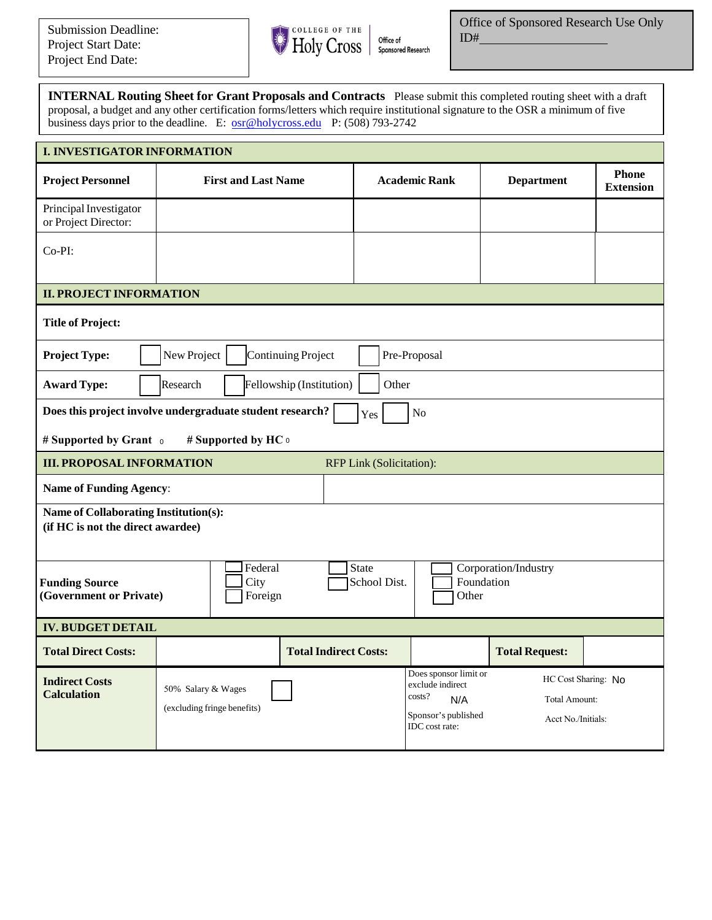

**INTERNAL Routing Sheet for Grant Proposals and Contracts** Please submit this completed routing sheet with a draft proposal, a budget and any other certification forms/letters which require institutional signature to the OSR a minimum of five business days prior to the deadline. E: [osr@holycross.edu](mailto:osr@holycross.edu) P: (508) 793-2742

| <b>I. INVESTIGATOR INFORMATION</b>                                         |                                                   |                              |                                                                                                     |                                                            |                                  |  |  |  |  |  |  |
|----------------------------------------------------------------------------|---------------------------------------------------|------------------------------|-----------------------------------------------------------------------------------------------------|------------------------------------------------------------|----------------------------------|--|--|--|--|--|--|
| <b>Project Personnel</b>                                                   | <b>First and Last Name</b>                        |                              | <b>Academic Rank</b>                                                                                | <b>Department</b>                                          | <b>Phone</b><br><b>Extension</b> |  |  |  |  |  |  |
| Principal Investigator<br>or Project Director:                             |                                                   |                              |                                                                                                     |                                                            |                                  |  |  |  |  |  |  |
| Co-PI:                                                                     |                                                   |                              |                                                                                                     |                                                            |                                  |  |  |  |  |  |  |
| <b>II. PROJECT INFORMATION</b>                                             |                                                   |                              |                                                                                                     |                                                            |                                  |  |  |  |  |  |  |
| <b>Title of Project:</b>                                                   |                                                   |                              |                                                                                                     |                                                            |                                  |  |  |  |  |  |  |
| New Project<br>Pre-Proposal<br><b>Project Type:</b><br>Continuing Project  |                                                   |                              |                                                                                                     |                                                            |                                  |  |  |  |  |  |  |
| <b>Award Type:</b><br>Research<br>Fellowship (Institution)<br>Other        |                                                   |                              |                                                                                                     |                                                            |                                  |  |  |  |  |  |  |
| Does this project involve undergraduate student research?<br>No<br>Yes     |                                                   |                              |                                                                                                     |                                                            |                                  |  |  |  |  |  |  |
| # Supported by Grant o<br># Supported by HC o                              |                                                   |                              |                                                                                                     |                                                            |                                  |  |  |  |  |  |  |
| <b>III. PROPOSAL INFORMATION</b><br><b>RFP Link (Solicitation):</b>        |                                                   |                              |                                                                                                     |                                                            |                                  |  |  |  |  |  |  |
| <b>Name of Funding Agency:</b>                                             |                                                   |                              |                                                                                                     |                                                            |                                  |  |  |  |  |  |  |
| Name of Collaborating Institution(s):<br>(if HC is not the direct awardee) |                                                   |                              |                                                                                                     |                                                            |                                  |  |  |  |  |  |  |
| <b>Funding Source</b><br>(Government or Private)                           | Federal<br>City<br>Foreign                        | <b>State</b><br>School Dist. | Corporation/Industry<br>Foundation<br>Other                                                         |                                                            |                                  |  |  |  |  |  |  |
| <b>IV. BUDGET DETAIL</b>                                                   |                                                   |                              |                                                                                                     |                                                            |                                  |  |  |  |  |  |  |
| <b>Total Direct Costs:</b>                                                 | <b>Total Indirect Costs:</b>                      |                              |                                                                                                     | <b>Total Request:</b>                                      |                                  |  |  |  |  |  |  |
| <b>Indirect Costs</b><br><b>Calculation</b>                                | 50% Salary & Wages<br>(excluding fringe benefits) |                              | Does sponsor limit or<br>exclude indirect<br>costs?<br>N/A<br>Sponsor's published<br>IDC cost rate: | HC Cost Sharing: No<br>Total Amount:<br>Acct No./Initials: |                                  |  |  |  |  |  |  |